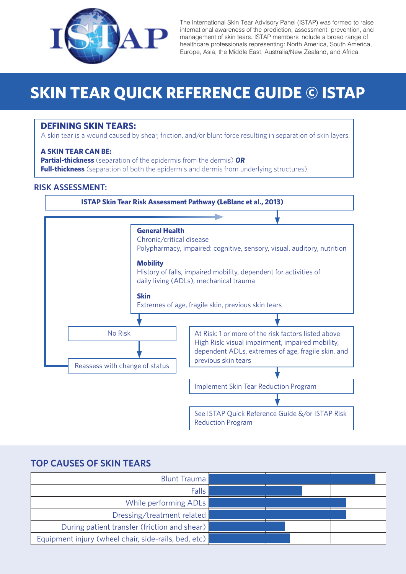

The International Skin Tear Advisory Panel (ISTAP) was formed to raise international awareness of the prediction, assessment, prevention, and management of skin tears. ISTAP members include a broad range of healthcare professionals representing: North America, South America, Europe, Asia, the Middle East, Australia/New Zealand, and Africa.

# **SKIN TEAR QUICK REFERENCE GUIDE © ISTAP**

#### **DEFINING SKIN TEARS:**

A skin tear is a wound caused by shear, friction, and/or blunt force resulting in separation of skin layers.

#### **A SKIN TEAR CAN BE:**

**Partial-thickness** (separation of the epidermis from the dermis) *OR* **Full-thickness** (separation of both the epidermis and dermis from underlying structures).

#### **RISK ASSESSMENT:**



### **TOP CAUSES OF SKIN TEARS**

| <b>Blunt Trauma</b>                                  |  |
|------------------------------------------------------|--|
| Falls                                                |  |
| While performing ADLs                                |  |
| Dressing/treatment related                           |  |
| During patient transfer (friction and shear)         |  |
| Equipment injury (wheel chair, side-rails, bed, etc) |  |